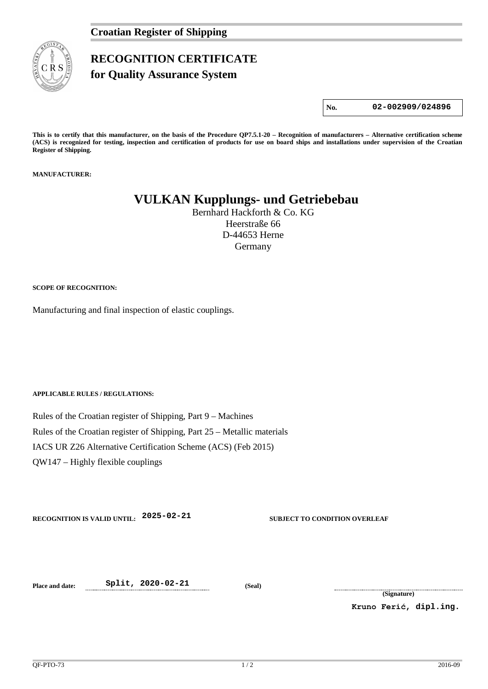

## **RECOGNITION CERTIFICATE**

**for Quality Assurance System** 

**No. 02-002909/024896**

**This is to certify that this manufacturer, on the basis of the Procedure QP7.5.1-20 – Recognition of manufacturers – Alternative certification scheme (ACS) is recognized for testing, inspection and certification of products for use on board ships and installations under supervision of the Croatian Register of Shipping.**

**MANUFACTURER:**

## **VULKAN Kupplungs- und Getriebebau**

Bernhard Hackforth & Co. KG Heerstraße 66 D-44653 Herne Germany

**SCOPE OF RECOGNITION:**

Manufacturing and final inspection of elastic couplings.

**APPLICABLE RULES / REGULATIONS:**

Rules of the Croatian register of Shipping, Part 9 – Machines Rules of the Croatian register of Shipping, Part 25 – Metallic materials IACS UR Z26 Alternative Certification Scheme (ACS) (Feb 2015) QW147 – Highly flexible couplings

**RECOGNITION IS VALID UNTIL: 2025-02-21 SUBJECT TO CONDITION OVERLEAF**

**Place and date: Split, 2020-02-21 (Seal)**

**(Signature)**

**Kruno Ferić, dipl.ing.**